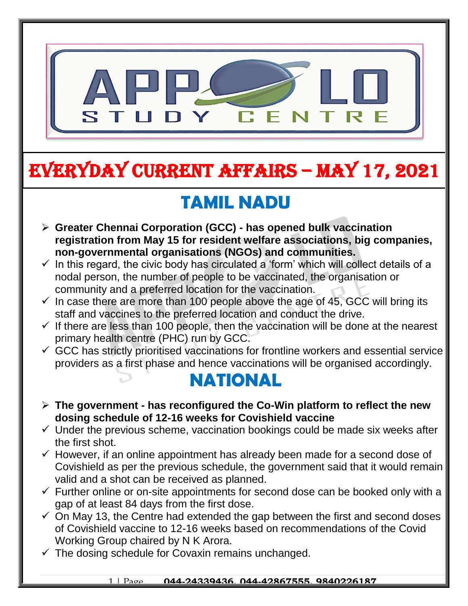

# EVERYDAY CURRENT AFFAIRS – MAY 17, 2021

-

## **TAMIL NADU**

- **Greater Chennai Corporation (GCC) - has opened bulk vaccination registration from May 15 for resident welfare associations, big companies, non-governmental organisations (NGOs) and communities.**
- $\checkmark$  In this regard, the civic body has circulated a 'form' which will collect details of a nodal person, the number of people to be vaccinated, the organisation or community and a preferred location for the vaccination.
- $\checkmark$  In case there are more than 100 people above the age of 45, GCC will bring its staff and vaccines to the preferred location and conduct the drive.
- $\checkmark$  If there are less than 100 people, then the vaccination will be done at the nearest primary health centre (PHC) run by GCC.
- $\checkmark$  GCC has strictly prioritised vaccinations for frontline workers and essential service providers as a first phase and hence vaccinations will be organised accordingly.

#### **NATIONAL**

- **The government - has reconfigured the Co-Win platform to reflect the new dosing schedule of 12-16 weeks for Covishield vaccine**
- $\checkmark$  Under the previous scheme, vaccination bookings could be made six weeks after the first shot.
- $\checkmark$  However, if an online appointment has already been made for a second dose of Covishield as per the previous schedule, the government said that it would remain valid and a shot can be received as planned.
- $\checkmark$  Further online or on-site appointments for second dose can be booked only with a gap of at least 84 days from the first dose.
- $\checkmark$  On May 13, the Centre had extended the gap between the first and second doses of Covishield vaccine to 12-16 weeks based on recommendations of the Covid Working Group chaired by N K Arora.
- $\checkmark$  The dosing schedule for Covaxin remains unchanged.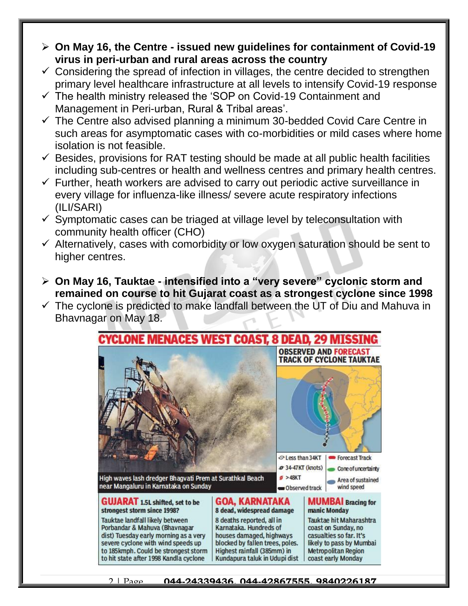- **On May 16, the Centre - issued new guidelines for containment of Covid-19 virus in peri-urban and rural areas across the country**
- $\checkmark$  Considering the spread of infection in villages, the centre decided to strengthen primary level healthcare infrastructure at all levels to intensify Covid-19 response
- $\checkmark$  The health ministry released the 'SOP on Covid-19 Containment and Management in Peri-urban, Rural & Tribal areas'.
- $\checkmark$  The Centre also advised planning a minimum 30-bedded Covid Care Centre in such areas for asymptomatic cases with co-morbidities or mild cases where home isolation is not feasible.
- $\checkmark$  Besides, provisions for RAT testing should be made at all public health facilities including sub-centres or health and wellness centres and primary health centres.
- $\checkmark$  Further, heath workers are advised to carry out periodic active surveillance in every village for influenza-like illness/ severe acute respiratory infections (ILI/SARI)
- $\checkmark$  Symptomatic cases can be triaged at village level by teleconsultation with community health officer (CHO)
- $\checkmark$  Alternatively, cases with comorbidity or low oxygen saturation should be sent to higher centres.
- **On May 16, Tauktae - intensified into a "very severe" cyclonic storm and remained on course to hit Gujarat coast as a strongest cyclone since 1998**
- $\checkmark$  The cyclone is predicted to make landfall between the UT of Diu and Mahuva in Bhavnagar on May 18.

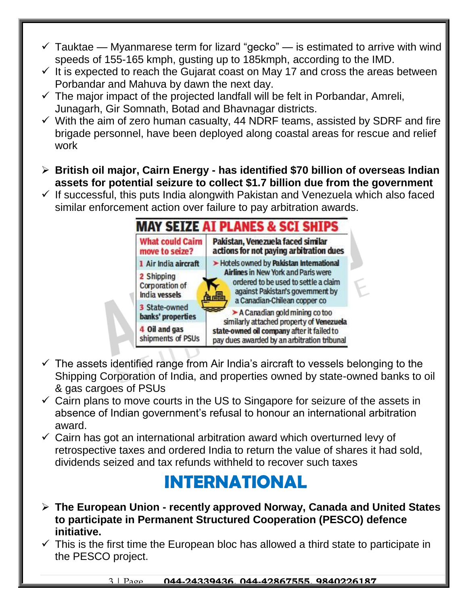- $\checkmark$  Tauktae Myanmarese term for lizard "gecko" is estimated to arrive with wind speeds of 155-165 kmph, gusting up to 185kmph, according to the IMD.
- $\checkmark$  It is expected to reach the Gujarat coast on May 17 and cross the areas between Porbandar and Mahuva by dawn the next day.
- $\checkmark$  The major impact of the projected landfall will be felt in Porbandar, Amreli, Junagarh, Gir Somnath, Botad and Bhavnagar districts.
- $\checkmark$  With the aim of zero human casualty, 44 NDRF teams, assisted by SDRF and fire brigade personnel, have been deployed along coastal areas for rescue and relief work
- **British oil major, Cairn Energy - has identified \$70 billion of overseas Indian assets for potential seizure to collect \$1.7 billion due from the government**
- $\checkmark$  If successful, this puts India alongwith Pakistan and Venezuela which also faced similar enforcement action over failure to pay arbitration awards.



- $\checkmark$  The assets identified range from Air India's aircraft to vessels belonging to the Shipping Corporation of India, and properties owned by state-owned banks to oil & gas cargoes of PSUs
- $\checkmark$  Cairn plans to move courts in the US to Singapore for seizure of the assets in absence of Indian government's refusal to honour an international arbitration award.
- $\checkmark$  Cairn has got an international arbitration award which overturned levy of retrospective taxes and ordered India to return the value of shares it had sold, dividends seized and tax refunds withheld to recover such taxes

#### **INTERNATIONAL**

- **The European Union - recently approved Norway, Canada and United States to participate in Permanent Structured Cooperation (PESCO) defence initiative.**
- $\checkmark$  This is the first time the European bloc has allowed a third state to participate in the PESCO project.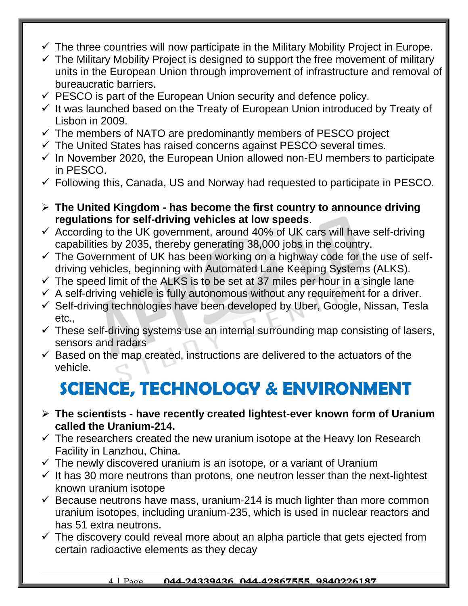- $\checkmark$  The three countries will now participate in the Military Mobility Project in Europe.
- $\checkmark$  The Military Mobility Project is designed to support the free movement of military units in the European Union through improvement of infrastructure and removal of bureaucratic barriers.
- $\checkmark$  PESCO is part of the European Union security and defence policy.
- $\checkmark$  It was launched based on the Treaty of European Union introduced by Treaty of Lisbon in 2009.
- $\checkmark$  The members of NATO are predominantly members of PESCO project
- $\checkmark$  The United States has raised concerns against PESCO several times.
- $\checkmark$  In November 2020, the European Union allowed non-EU members to participate in PESCO.
- $\checkmark$  Following this, Canada, US and Norway had requested to participate in PESCO.
- **The United Kingdom - has become the first country to announce driving regulations for self-driving vehicles at low speeds**.
- $\checkmark$  According to the UK government, around 40% of UK cars will have self-driving capabilities by 2035, thereby generating 38,000 jobs in the country.
- $\checkmark$  The Government of UK has been working on a highway code for the use of selfdriving vehicles, beginning with Automated Lane Keeping Systems (ALKS).
- $\checkmark$  The speed limit of the ALKS is to be set at 37 miles per hour in a single lane
- $\checkmark$  A self-driving vehicle is fully autonomous without any requirement for a driver.
- $\checkmark$  Self-driving technologies have been developed by Uber, Google, Nissan, Tesla etc.,
- $\checkmark$  These self-driving systems use an internal surrounding map consisting of lasers, sensors and radars
- $\checkmark$  Based on the map created, instructions are delivered to the actuators of the vehicle.

# **SCIENCE, TECHNOLOGY & ENVIRONMENT**

- **The scientists - have recently created lightest-ever known form of Uranium called the Uranium-214.**
- $\checkmark$  The researchers created the new uranium isotope at the Heavy Ion Research Facility in Lanzhou, China.
- $\checkmark$  The newly discovered uranium is an isotope, or a variant of Uranium
- $\checkmark$  It has 30 more neutrons than protons, one neutron lesser than the next-lightest known uranium isotope
- $\checkmark$  Because neutrons have mass, uranium-214 is much lighter than more common uranium isotopes, including uranium-235, which is used in nuclear reactors and has 51 extra neutrons.
- $\checkmark$  The discovery could reveal more about an alpha particle that gets ejected from certain radioactive elements as they decay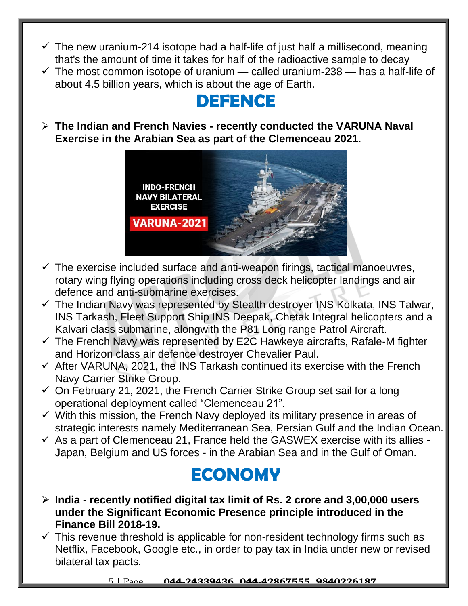- $\checkmark$  The new uranium-214 isotope had a half-life of just half a millisecond, meaning that's the amount of time it takes for half of the radioactive sample to decay
- $\checkmark$  The most common isotope of uranium called uranium-238 has a half-life of about 4.5 billion years, which is about the age of Earth.

## **DEFENCE**

 **The Indian and French Navies - recently conducted the VARUNA Naval Exercise in the Arabian Sea as part of the Clemenceau 2021.**



- $\checkmark$  The exercise included surface and anti-weapon firings, tactical manoeuvres, rotary wing flying operations including cross deck helicopter landings and air defence and anti-submarine exercises.
- $\checkmark$  The Indian Navy was represented by Stealth destroyer INS Kolkata, INS Talwar, INS Tarkash, Fleet Support Ship INS Deepak, Chetak Integral helicopters and a Kalvari class submarine, alongwith the P81 Long range Patrol Aircraft.
- $\checkmark$  The French Navy was represented by E2C Hawkeye aircrafts, Rafale-M fighter and Horizon class air defence destroyer Chevalier Paul.
- $\checkmark$  After VARUNA, 2021, the INS Tarkash continued its exercise with the French Navy Carrier Strike Group.
- $\checkmark$  On February 21, 2021, the French Carrier Strike Group set sail for a long operational deployment called "Clemenceau 21".
- $\checkmark$  With this mission, the French Navy deployed its military presence in areas of strategic interests namely Mediterranean Sea, Persian Gulf and the Indian Ocean.
- $\checkmark$  As a part of Clemenceau 21, France held the GASWEX exercise with its allies -Japan, Belgium and US forces - in the Arabian Sea and in the Gulf of Oman.

### **ECONOMY**

- **India - recently notified digital tax limit of Rs. 2 crore and 3,00,000 users under the Significant Economic Presence principle introduced in the Finance Bill 2018-19.**
- $\checkmark$  This revenue threshold is applicable for non-resident technology firms such as Netflix, Facebook, Google etc., in order to pay tax in India under new or revised bilateral tax pacts.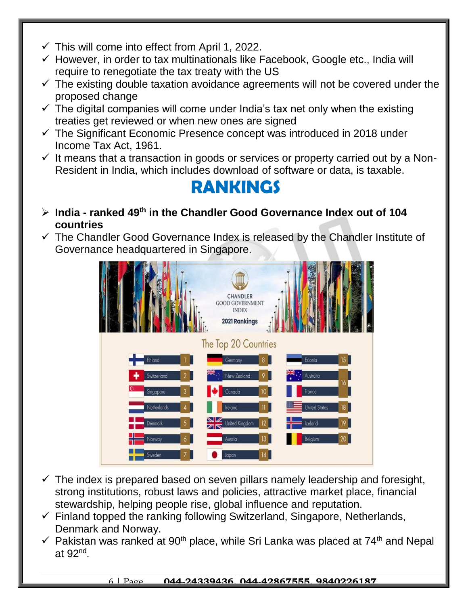- $\checkmark$  This will come into effect from April 1, 2022.
- $\checkmark$  However, in order to tax multinationals like Facebook, Google etc., India will require to renegotiate the tax treaty with the US
- $\checkmark$  The existing double taxation avoidance agreements will not be covered under the proposed change
- $\checkmark$  The digital companies will come under India's tax net only when the existing treaties get reviewed or when new ones are signed
- $\checkmark$  The Significant Economic Presence concept was introduced in 2018 under Income Tax Act, 1961.
- $\checkmark$  It means that a transaction in goods or services or property carried out by a Non-Resident in India, which includes download of software or data, is taxable.

#### **RANKINGS**

- **India - ranked 49th in the Chandler Good Governance Index out of 104 countries**
- $\checkmark$  The Chandler Good Governance Index is released by the Chandler Institute of Governance headquartered in Singapore.



- $\checkmark$  The index is prepared based on seven pillars namely leadership and foresight, strong institutions, robust laws and policies, attractive market place, financial stewardship, helping people rise, global influence and reputation.
- $\checkmark$  Finland topped the ranking following Switzerland, Singapore, Netherlands, Denmark and Norway.
- $\checkmark$  Pakistan was ranked at 90<sup>th</sup> place, while Sri Lanka was placed at 74<sup>th</sup> and Nepal at 92<sup>nd</sup>.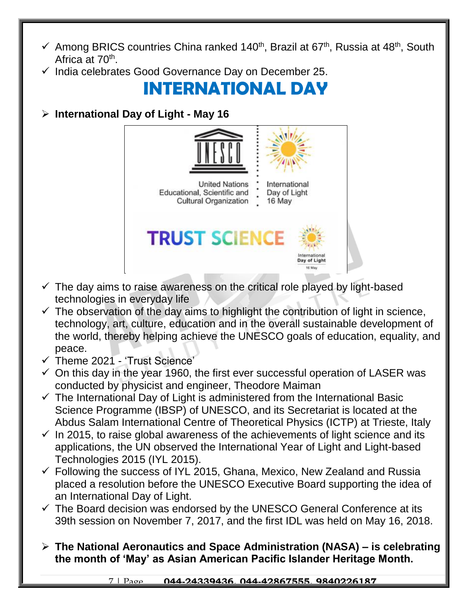- $\checkmark$  Among BRICS countries China ranked 140<sup>th</sup>, Brazil at 67<sup>th</sup>, Russia at 48<sup>th</sup>, South Africa at 70<sup>th</sup>.
- $\checkmark$  India celebrates Good Governance Day on December 25.

### **INTERNATIONAL DAY**

**International Day of Light - May 16** 



- $\checkmark$  The day aims to raise awareness on the critical role played by light-based technologies in everyday life
- $\checkmark$  The observation of the day aims to highlight the contribution of light in science, technology, art, culture, education and in the overall sustainable development of the world, thereby helping achieve the UNESCO goals of education, equality, and peace.
- $\checkmark$  Theme 2021 'Trust Science'
- $\checkmark$  On this day in the year 1960, the first ever successful operation of LASER was conducted by physicist and engineer, Theodore Maiman
- $\checkmark$  The International Day of Light is administered from the International Basic Science Programme (IBSP) of UNESCO, and its Secretariat is located at the Abdus Salam International Centre of Theoretical Physics (ICTP) at Trieste, Italy
- $\checkmark$  In 2015, to raise global awareness of the achievements of light science and its applications, the UN observed the International Year of Light and Light-based Technologies 2015 (IYL 2015).
- $\checkmark$  Following the success of IYL 2015, Ghana, Mexico, New Zealand and Russia placed a resolution before the UNESCO Executive Board supporting the idea of an International Day of Light.
- $\checkmark$  The Board decision was endorsed by the UNESCO General Conference at its 39th session on November 7, 2017, and the first IDL was held on May 16, 2018.
- **The National Aeronautics and Space Administration (NASA) – is celebrating the month of 'May' as Asian American Pacific Islander Heritage Month.**